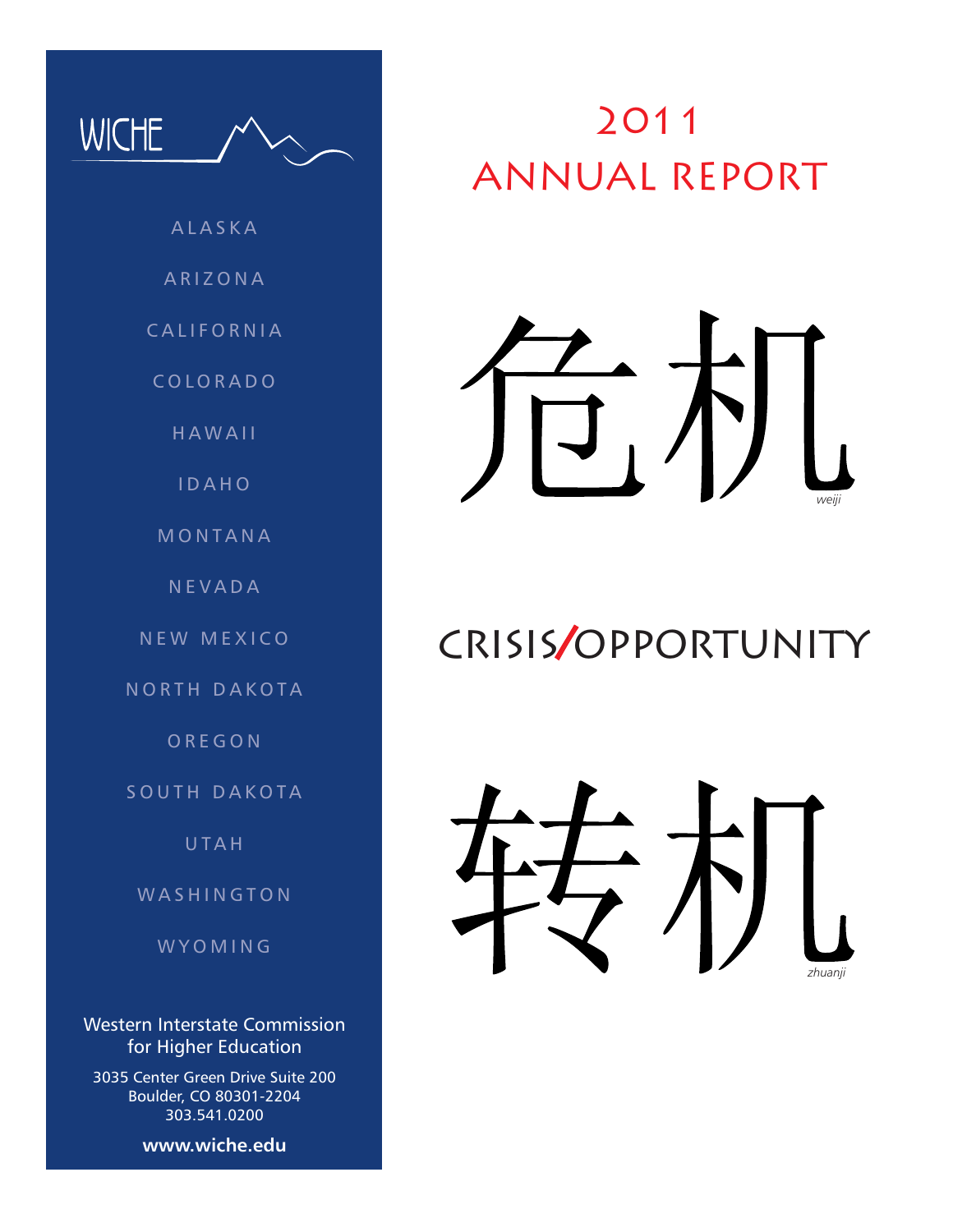

**HAWAII** 

I D A H O

**MONTANA** 

**NEVADA** 

NEW MEXICO

NORTH DAKOTA

**OREGON** 

SOUTH DAKOTA

**UTAH** 

W A S H I N G T O N

**WYOMING** 

Western Interstate Commission for Higher Education

3035 Center Green Drive Suite 200 Boulder, CO 80301-2204 303.541.0200

**www.wiche.edu**

# 2011 ANNUAL REPORT



# crisis/opportunity

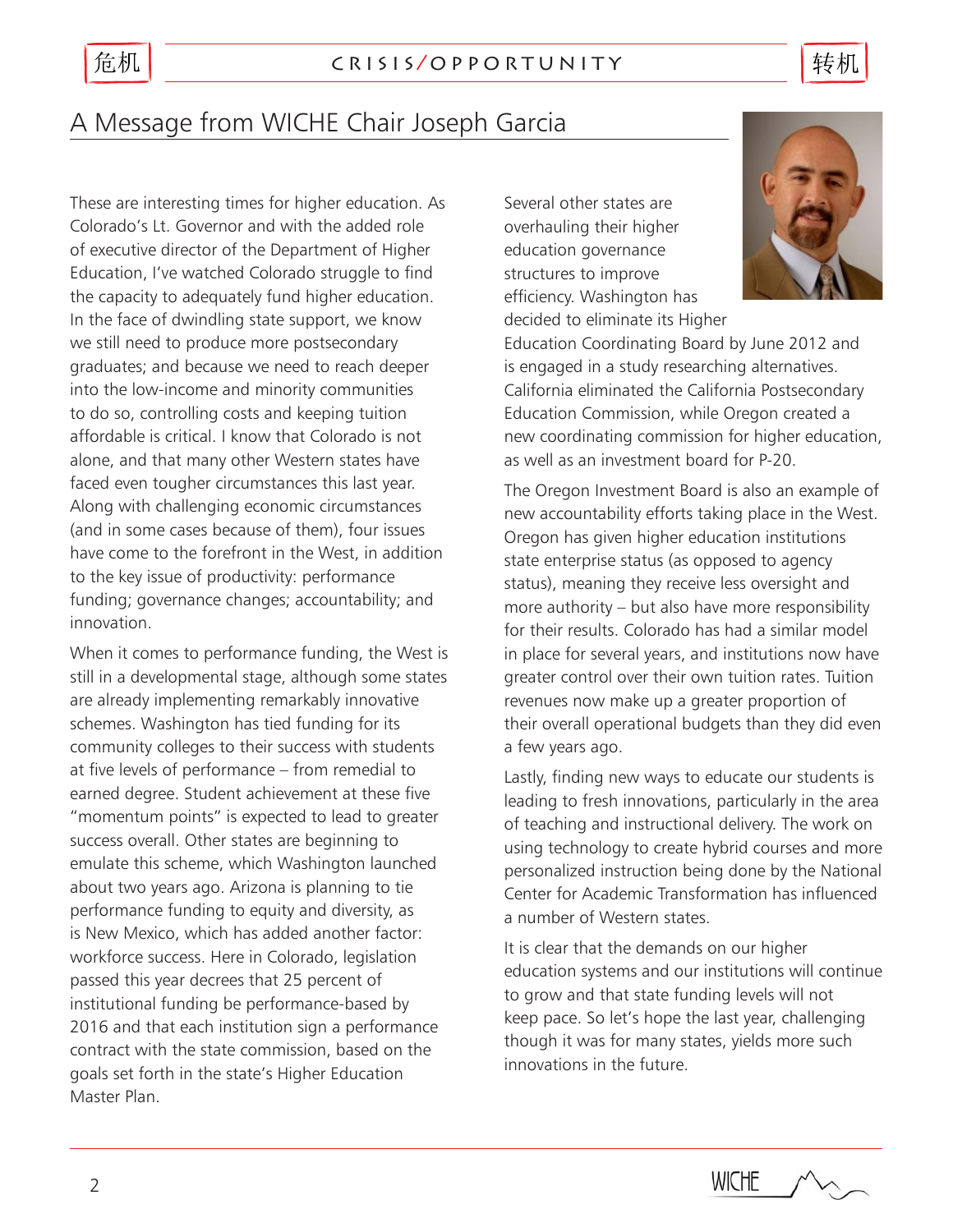# 危机

转机

# A Message from WICHE Chair Joseph Garcia

These are interesting times for higher education. As Colorado's Lt. Governor and with the added role of executive director of the Department of Higher Education, I've watched Colorado struggle to find the capacity to adequately fund higher education. In the face of dwindling state support, we know we still need to produce more postsecondary graduates; and because we need to reach deeper into the low-income and minority communities to do so, controlling costs and keeping tuition affordable is critical. I know that Colorado is not alone, and that many other Western states have faced even tougher circumstances this last year. Along with challenging economic circumstances (and in some cases because of them), four issues have come to the forefront in the West, in addition to the key issue of productivity: performance funding; governance changes; accountability; and innovation.

When it comes to performance funding, the West is still in a developmental stage, although some states are already implementing remarkably innovative schemes. Washington has tied funding for its community colleges to their success with students at five levels of performance – from remedial to earned degree. Student achievement at these five "momentum points" is expected to lead to greater success overall. Other states are beginning to emulate this scheme, which Washington launched about two years ago. Arizona is planning to tie performance funding to equity and diversity, as is New Mexico, which has added another factor: workforce success. Here in Colorado, legislation passed this year decrees that 25 percent of institutional funding be performance-based by 2016 and that each institution sign a performance contract with the state commission, based on the goals set forth in the state's Higher Education Master Plan.

Several other states are overhauling their higher education governance structures to improve efficiency. Washington has decided to eliminate its Higher



Education Coordinating Board by June 2012 and is engaged in a study researching alternatives. California eliminated the California Postsecondary Education Commission, while Oregon created a new coordinating commission for higher education, as well as an investment board for P-20.

The Oregon Investment Board is also an example of new accountability efforts taking place in the West. Oregon has given higher education institutions state enterprise status (as opposed to agency status), meaning they receive less oversight and more authority – but also have more responsibility for their results. Colorado has had a similar model in place for several years, and institutions now have greater control over their own tuition rates. Tuition revenues now make up a greater proportion of their overall operational budgets than they did even a few years ago.

Lastly, finding new ways to educate our students is leading to fresh innovations, particularly in the area of teaching and instructional delivery. The work on using technology to create hybrid courses and more personalized instruction being done by the National Center for Academic Transformation has influenced a number of Western states.

It is clear that the demands on our higher education systems and our institutions will continue to grow and that state funding levels will not keep pace. So let's hope the last year, challenging though it was for many states, yields more such innovations in the future.

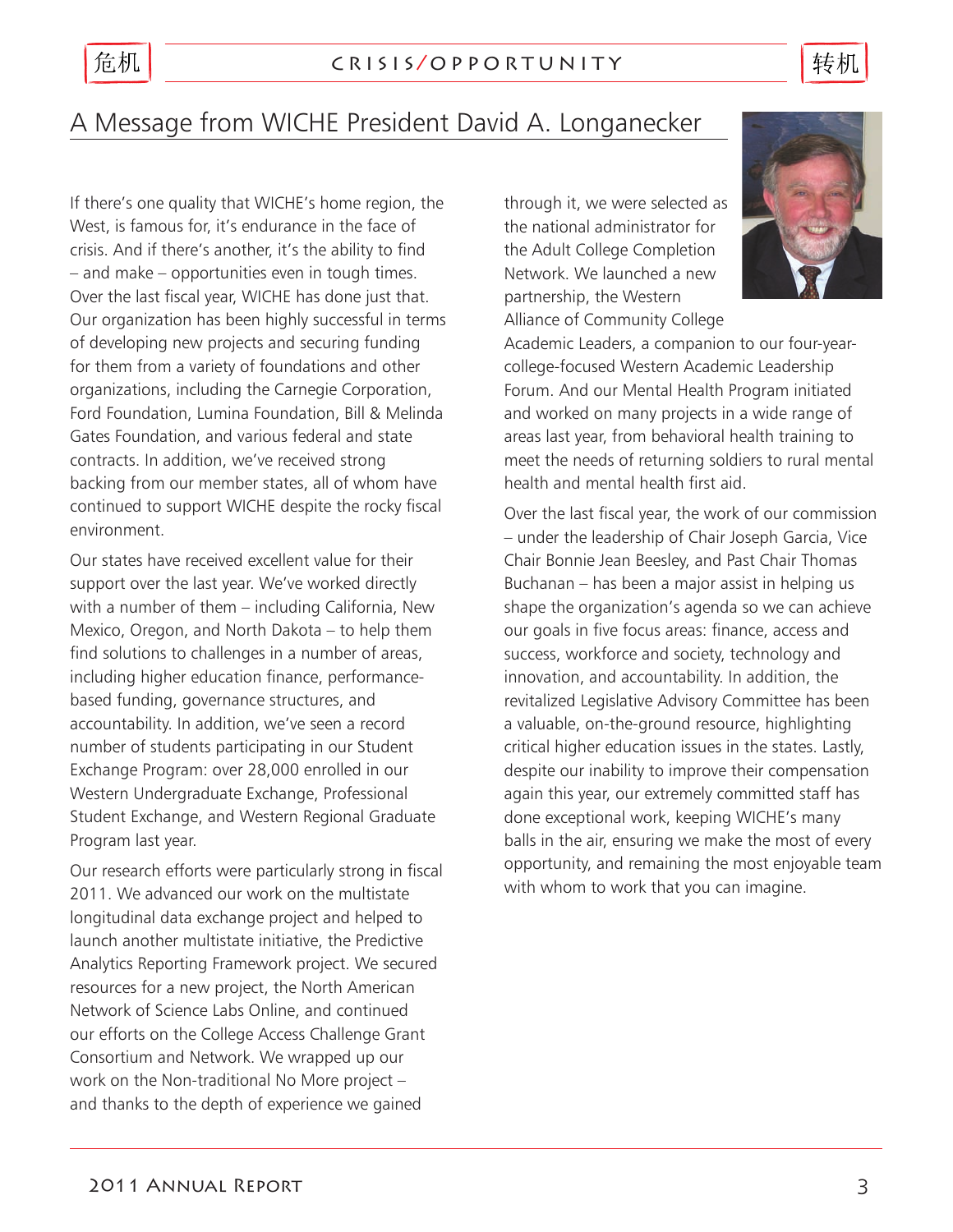# 危机

### c r i s i s / o p p o r t u n i t y

转机

# A Message from WICHE President David A. Longanecker

If there's one quality that WICHE's home region, the West, is famous for, it's endurance in the face of crisis. And if there's another, it's the ability to find – and make – opportunities even in tough times. Over the last fiscal year, WICHE has done just that. Our organization has been highly successful in terms of developing new projects and securing funding for them from a variety of foundations and other organizations, including the Carnegie Corporation, Ford Foundation, Lumina Foundation, Bill & Melinda Gates Foundation, and various federal and state contracts. In addition, we've received strong backing from our member states, all of whom have continued to support WICHE despite the rocky fiscal environment.

Our states have received excellent value for their support over the last year. We've worked directly with a number of them – including California, New Mexico, Oregon, and North Dakota – to help them find solutions to challenges in a number of areas, including higher education finance, performancebased funding, governance structures, and accountability. In addition, we've seen a record number of students participating in our Student Exchange Program: over 28,000 enrolled in our Western Undergraduate Exchange, Professional Student Exchange, and Western Regional Graduate Program last year.

Our research efforts were particularly strong in fiscal 2011. We advanced our work on the multistate longitudinal data exchange project and helped to launch another multistate initiative, the Predictive Analytics Reporting Framework project. We secured resources for a new project, the North American Network of Science Labs Online, and continued our efforts on the College Access Challenge Grant Consortium and Network. We wrapped up our work on the Non-traditional No More project – and thanks to the depth of experience we gained

through it, we were selected as the national administrator for the Adult College Completion Network. We launched a new partnership, the Western Alliance of Community College



Academic Leaders, a companion to our four-yearcollege-focused Western Academic Leadership Forum. And our Mental Health Program initiated and worked on many projects in a wide range of areas last year, from behavioral health training to meet the needs of returning soldiers to rural mental health and mental health first aid.

Over the last fiscal year, the work of our commission – under the leadership of Chair Joseph Garcia, Vice Chair Bonnie Jean Beesley, and Past Chair Thomas Buchanan – has been a major assist in helping us shape the organization's agenda so we can achieve our goals in five focus areas: finance, access and success, workforce and society, technology and innovation, and accountability. In addition, the revitalized Legislative Advisory Committee has been a valuable, on-the-ground resource, highlighting critical higher education issues in the states. Lastly, despite our inability to improve their compensation again this year, our extremely committed staff has done exceptional work, keeping WICHE's many balls in the air, ensuring we make the most of every opportunity, and remaining the most enjoyable team with whom to work that you can imagine.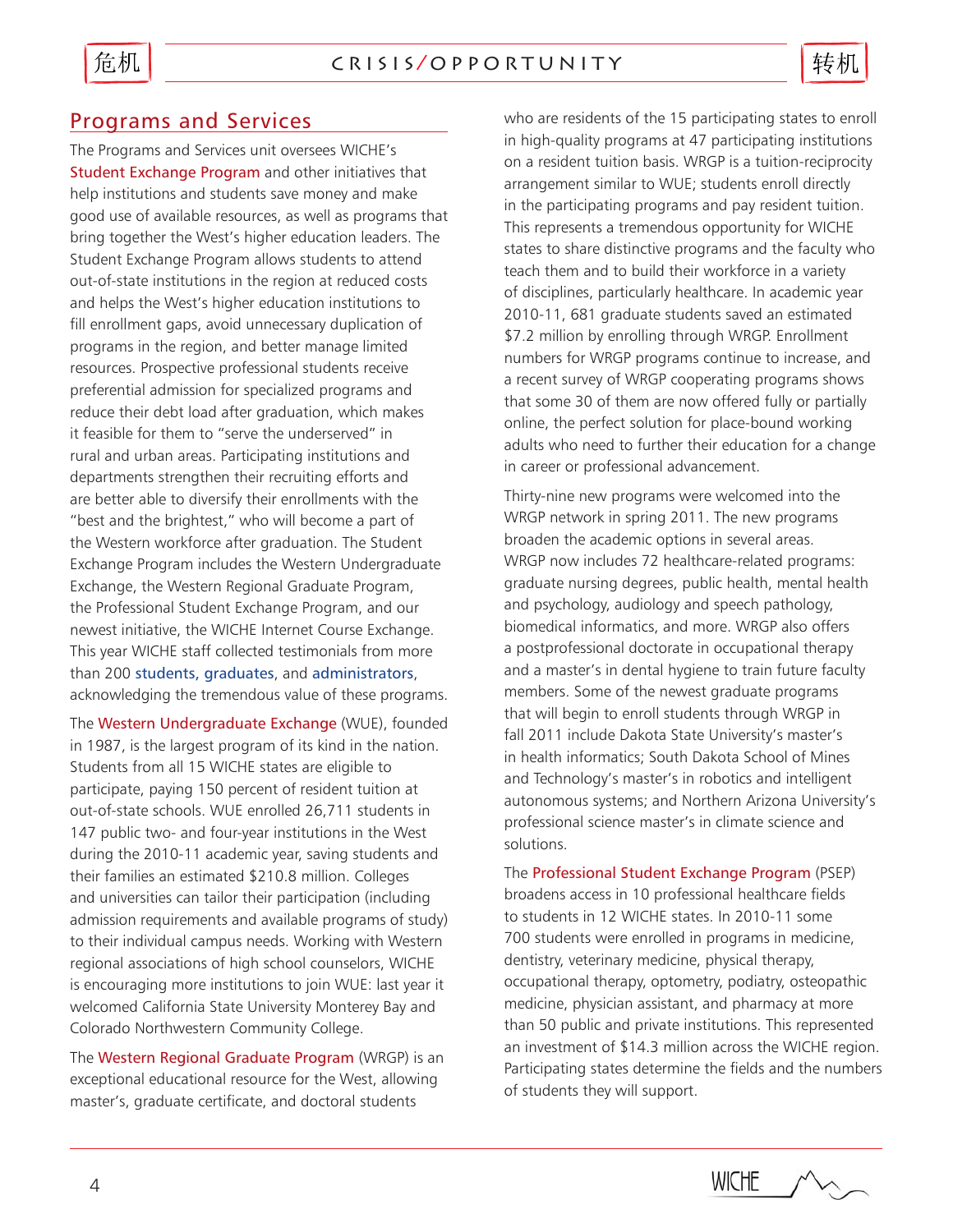## Programs and Services

The Programs and Services unit oversees WICHE's Student Exchange Program and other initiatives that help institutions and students save money and make good use of available resources, as well as programs that bring together the West's higher education leaders. The Student Exchange Program allows students to attend out-of-state institutions in the region at reduced costs and helps the West's higher education institutions to fill enrollment gaps, avoid unnecessary duplication of programs in the region, and better manage limited resources. Prospective professional students receive preferential admission for specialized programs and reduce their debt load after graduation, which makes it feasible for them to "serve the underserved" in rural and urban areas. Participating institutions and departments strengthen their recruiting efforts and are better able to diversify their enrollments with the "best and the brightest," who will become a part of the Western workforce after graduation. The Student Exchange Program includes the Western Undergraduate Exchange, the Western Regional Graduate Program, the Professional Student Exchange Program, and our newest initiative, the WICHE Internet Course Exchange. This year WICHE staff collected testimonials from more than 200 [students, graduates](http://www.wiche.edu/studentTestimonials), and [administrators](http://www.wiche.edu/adminTestimonials), acknowledging the tremendous value of these programs.

The Western Undergraduate Exchange (WUE), founded in 1987, is the largest program of its kind in the nation. Students from all 15 WICHE states are eligible to participate, paying 150 percent of resident tuition at out-of-state schools. WUE enrolled 26,711 students in 147 public two- and four-year institutions in the West during the 2010-11 academic year, saving students and their families an estimated \$210.8 million. Colleges and universities can tailor their participation (including admission requirements and available programs of study) to their individual campus needs. Working with Western regional associations of high school counselors, WICHE is encouraging more institutions to join WUE: last year it welcomed California State University Monterey Bay and Colorado Northwestern Community College.

The Western Regional Graduate Program (WRGP) is an exceptional educational resource for the West, allowing master's, graduate certificate, and doctoral students

who are residents of the 15 participating states to enroll in high-quality programs at 47 participating institutions on a resident tuition basis. WRGP is a tuition-reciprocity arrangement similar to WUE; students enroll directly in the participating programs and pay resident tuition. This represents a tremendous opportunity for WICHE states to share distinctive programs and the faculty who teach them and to build their workforce in a variety of disciplines, particularly healthcare. In academic year 2010-11, 681 graduate students saved an estimated \$7.2 million by enrolling through WRGP. Enrollment numbers for WRGP programs continue to increase, and a recent survey of WRGP cooperating programs shows that some 30 of them are now offered fully or partially online, the perfect solution for place-bound working adults who need to further their education for a change in career or professional advancement.

Thirty-nine new programs were welcomed into the WRGP network in spring 2011. The new programs broaden the academic options in several areas. WRGP now includes 72 healthcare-related programs: graduate nursing degrees, public health, mental health and psychology, audiology and speech pathology, biomedical informatics, and more. WRGP also offers a postprofessional doctorate in occupational therapy and a master's in dental hygiene to train future faculty members. Some of the newest graduate programs that will begin to enroll students through WRGP in fall 2011 include Dakota State University's master's in health informatics; South Dakota School of Mines and Technology's master's in robotics and intelligent autonomous systems; and Northern Arizona University's professional science master's in climate science and solutions.

The Professional Student Exchange Program (PSEP) broadens access in 10 professional healthcare fields to students in 12 WICHE states. In 2010-11 some 700 students were enrolled in programs in medicine, dentistry, veterinary medicine, physical therapy, occupational therapy, optometry, podiatry, osteopathic medicine, physician assistant, and pharmacy at more than 50 public and private institutions. This represented an investment of \$14.3 million across the WICHE region. Participating states determine the fields and the numbers of students they will support.

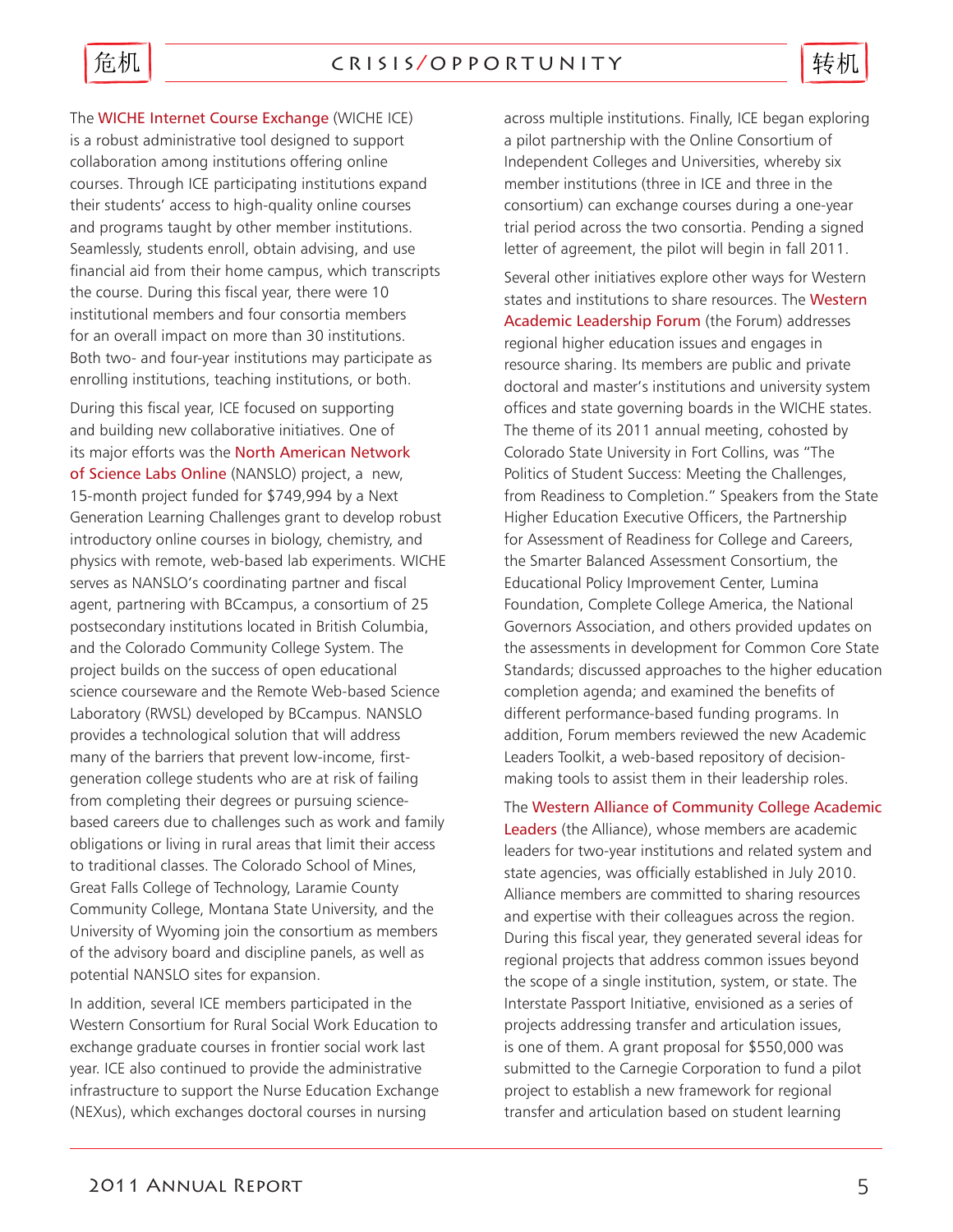

The WICHE Internet Course Exchange (WICHE ICE) is a robust administrative tool designed to support collaboration among institutions offering online courses. Through ICE participating institutions expand their students' access to high-quality online courses and programs taught by other member institutions. Seamlessly, students enroll, obtain advising, and use financial aid from their home campus, which transcripts the course. During this fiscal year, there were 10 institutional members and four consortia members for an overall impact on more than 30 institutions. Both two- and four-year institutions may participate as enrolling institutions, teaching institutions, or both.

During this fiscal year, ICE focused on supporting and building new collaborative initiatives. One of its major efforts was the North American Network of Science Labs Online (NANSLO) project, a new, 15-month project funded for \$749,994 by a Next Generation Learning Challenges grant to develop robust introductory online courses in biology, chemistry, and physics with remote, web-based lab experiments. WICHE serves as NANSLO's coordinating partner and fiscal agent, partnering with BCcampus, a consortium of 25 postsecondary institutions located in British Columbia, and the Colorado Community College System. The project builds on the success of open educational science courseware and the Remote Web-based Science Laboratory (RWSL) developed by BCcampus. NANSLO provides a technological solution that will address many of the barriers that prevent low-income, firstgeneration college students who are at risk of failing from completing their degrees or pursuing sciencebased careers due to challenges such as work and family obligations or living in rural areas that limit their access to traditional classes. The Colorado School of Mines, Great Falls College of Technology, Laramie County Community College, Montana State University, and the University of Wyoming join the consortium as members of the advisory board and discipline panels, as well as potential NANSLO sites for expansion.

In addition, several ICE members participated in the Western Consortium for Rural Social Work Education to exchange graduate courses in frontier social work last year. ICE also continued to provide the administrative infrastructure to support the Nurse Education Exchange (NEXus), which exchanges doctoral courses in nursing

across multiple institutions. Finally, ICE began exploring a pilot partnership with the Online Consortium of Independent Colleges and Universities, whereby six member institutions (three in ICE and three in the consortium) can exchange courses during a one-year trial period across the two consortia. Pending a signed letter of agreement, the pilot will begin in fall 2011.

Several other initiatives explore other ways for Western states and institutions to share resources. The Western Academic Leadership Forum (the Forum) addresses regional higher education issues and engages in resource sharing. Its members are public and private doctoral and master's institutions and university system offices and state governing boards in the WICHE states. The theme of its 2011 annual meeting, cohosted by Colorado State University in Fort Collins, was "The Politics of Student Success: Meeting the Challenges, from Readiness to Completion." Speakers from the State Higher Education Executive Officers, the Partnership for Assessment of Readiness for College and Careers, the Smarter Balanced Assessment Consortium, the Educational Policy Improvement Center, Lumina Foundation, Complete College America, the National Governors Association, and others provided updates on the assessments in development for Common Core State Standards; discussed approaches to the higher education completion agenda; and examined the benefits of different performance-based funding programs. In addition, Forum members reviewed the new Academic Leaders Toolkit, a web-based repository of decisionmaking tools to assist them in their leadership roles.

The Western Alliance of Community College Academic Leaders (the Alliance), whose members are academic leaders for two-year institutions and related system and state agencies, was officially established in July 2010. Alliance members are committed to sharing resources and expertise with their colleagues across the region. During this fiscal year, they generated several ideas for regional projects that address common issues beyond the scope of a single institution, system, or state. The Interstate Passport Initiative, envisioned as a series of projects addressing transfer and articulation issues, is one of them. A grant proposal for \$550,000 was submitted to the Carnegie Corporation to fund a pilot project to establish a new framework for regional transfer and articulation based on student learning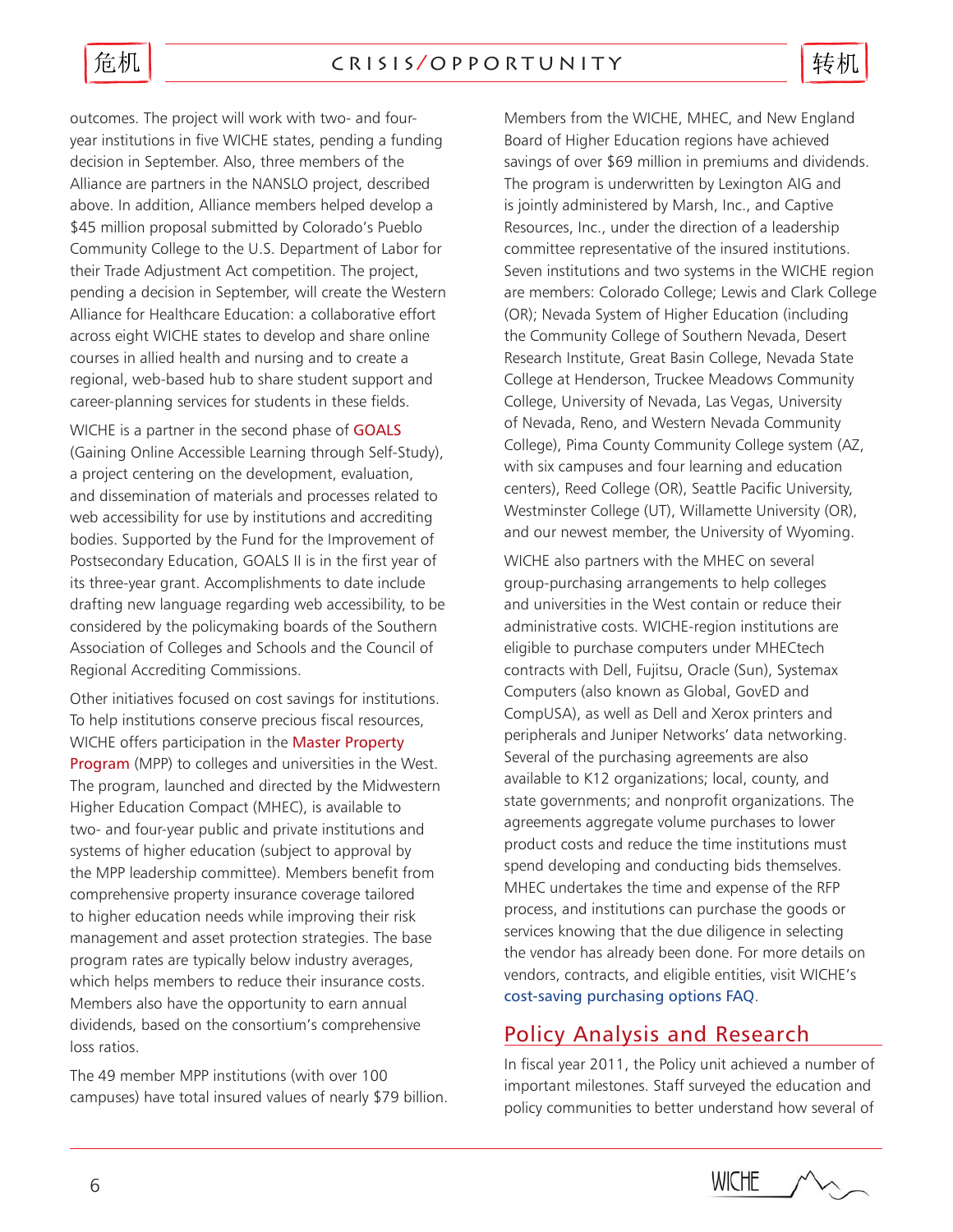

转机

outcomes. The project will work with two- and fouryear institutions in five WICHE states, pending a funding decision in September. Also, three members of the Alliance are partners in the NANSLO project, described above. In addition, Alliance members helped develop a \$45 million proposal submitted by Colorado's Pueblo Community College to the U.S. Department of Labor for their Trade Adjustment Act competition. The project, pending a decision in September, will create the Western Alliance for Healthcare Education: a collaborative effort across eight WICHE states to develop and share online courses in allied health and nursing and to create a regional, web-based hub to share student support and career-planning services for students in these fields.

WICHE is a partner in the second phase of **GOALS** (Gaining Online Accessible Learning through Self-Study), a project centering on the development, evaluation, and dissemination of materials and processes related to web accessibility for use by institutions and accrediting bodies. Supported by the Fund for the Improvement of Postsecondary Education, GOALS II is in the first year of its three-year grant. Accomplishments to date include drafting new language regarding web accessibility, to be considered by the policymaking boards of the Southern Association of Colleges and Schools and the Council of Regional Accrediting Commissions.

Other initiatives focused on cost savings for institutions. To help institutions conserve precious fiscal resources, WICHE offers participation in the Master Property Program (MPP) to colleges and universities in the West. The program, launched and directed by the Midwestern Higher Education Compact (MHEC), is available to two- and four-year public and private institutions and systems of higher education (subject to approval by the MPP leadership committee). Members benefit from comprehensive property insurance coverage tailored to higher education needs while improving their risk management and asset protection strategies. The base program rates are typically below industry averages, which helps members to reduce their insurance costs. Members also have the opportunity to earn annual dividends, based on the consortium's comprehensive loss ratios.

The 49 member MPP institutions (with over 100 campuses) have total insured values of nearly \$79 billion. Members from the WICHE, MHEC, and New England Board of Higher Education regions have achieved savings of over \$69 million in premiums and dividends. The program is underwritten by Lexington AIG and is jointly administered by Marsh, Inc., and Captive Resources, Inc., under the direction of a leadership committee representative of the insured institutions. Seven institutions and two systems in the WICHE region are members: Colorado College; Lewis and Clark College (OR); Nevada System of Higher Education (including the Community College of Southern Nevada, Desert Research Institute, Great Basin College, Nevada State College at Henderson, Truckee Meadows Community College, University of Nevada, Las Vegas, University of Nevada, Reno, and Western Nevada Community College), Pima County Community College system (AZ, with six campuses and four learning and education centers), Reed College (OR), Seattle Pacific University, Westminster College (UT), Willamette University (OR), and our newest member, the University of Wyoming.

WICHE also partners with the MHEC on several group-purchasing arrangements to help colleges and universities in the West contain or reduce their administrative costs. WICHE-region institutions are eligible to purchase computers under MHECtech contracts with Dell, Fujitsu, Oracle (Sun), Systemax Computers (also known as Global, GovED and CompUSA), as well as Dell and Xerox printers and peripherals and Juniper Networks' data networking. Several of the purchasing agreements are also available to K12 organizations; local, county, and state governments; and nonprofit organizations. The agreements aggregate volume purchases to lower product costs and reduce the time institutions must spend developing and conducting bids themselves. MHEC undertakes the time and expense of the RFP process, and institutions can purchase the goods or services knowing that the due diligence in selecting the vendor has already been done. For more details on vendors, contracts, and eligible entities, visit WICHE's [cost-saving purchasing options FAQ](http://www.wiche.edu/costSavingPurchasing/faq).

# Policy Analysis and Research

In fiscal year 2011, the Policy unit achieved a number of important milestones. Staff surveyed the education and policy communities to better understand how several of

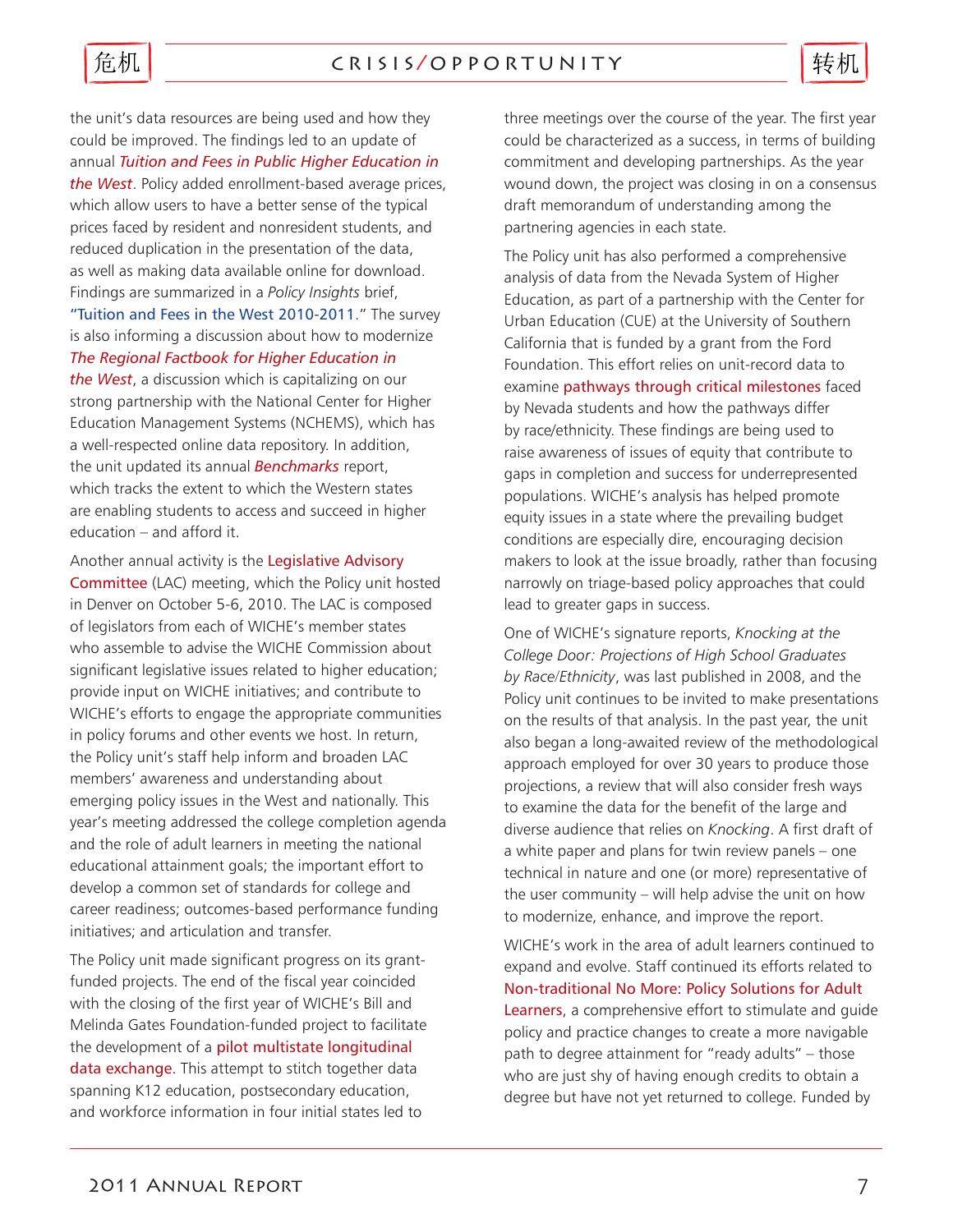

the unit's data resources are being used and how they could be improved. The findings led to an update of annual *Tuition and Fees in Public Higher Education in the West*. Policy added enrollment-based average prices, which allow users to have a better sense of the typical prices faced by resident and nonresident students, and reduced duplication in the presentation of the data, as well as making data available online for download. Findings are summarized in a *Policy Insights* brief, ["Tuition and Fees in the West 2010-2011](http://www.wiche.edu/info/publications/PI-TF10-11.pdf)." The survey is also informing a discussion about how to modernize *The Regional Factbook for Higher Education in the West*, a discussion which is capitalizing on our strong partnership with the National Center for Higher Education Management Systems (NCHEMS), which has a well-respected online data repository. In addition, the unit updated its annual *Benchmarks* report, which tracks the extent to which the Western states are enabling students to access and succeed in higher education – and afford it.

Another annual activity is the Legislative Advisory Committee (LAC) meeting, which the Policy unit hosted in Denver on October 5-6, 2010. The LAC is composed of legislators from each of WICHE's member states who assemble to advise the WICHE Commission about significant legislative issues related to higher education; provide input on WICHE initiatives; and contribute to WICHE's efforts to engage the appropriate communities in policy forums and other events we host. In return, the Policy unit's staff help inform and broaden LAC members' awareness and understanding about emerging policy issues in the West and nationally. This year's meeting addressed the college completion agenda and the role of adult learners in meeting the national educational attainment goals; the important effort to develop a common set of standards for college and career readiness; outcomes-based performance funding initiatives; and articulation and transfer.

The Policy unit made significant progress on its grantfunded projects. The end of the fiscal year coincided with the closing of the first year of WICHE's Bill and Melinda Gates Foundation-funded project to facilitate the development of a pilot multistate longitudinal data exchange. This attempt to stitch together data spanning K12 education, postsecondary education, and workforce information in four initial states led to

three meetings over the course of the year. The first year could be characterized as a success, in terms of building commitment and developing partnerships. As the year wound down, the project was closing in on a consensus draft memorandum of understanding among the partnering agencies in each state.

The Policy unit has also performed a comprehensive analysis of data from the Nevada System of Higher Education, as part of a partnership with the Center for Urban Education (CUE) at the University of Southern California that is funded by a grant from the Ford Foundation. This effort relies on unit-record data to examine pathways through critical milestones faced by Nevada students and how the pathways differ by race/ethnicity. These findings are being used to raise awareness of issues of equity that contribute to gaps in completion and success for underrepresented populations. WICHE's analysis has helped promote equity issues in a state where the prevailing budget conditions are especially dire, encouraging decision makers to look at the issue broadly, rather than focusing narrowly on triage-based policy approaches that could lead to greater gaps in success.

One of WICHE's signature reports, *Knocking at the College Door: Projections of High School Graduates by Race/Ethnicity*, was last published in 2008, and the Policy unit continues to be invited to make presentations on the results of that analysis. In the past year, the unit also began a long-awaited review of the methodological approach employed for over 30 years to produce those projections, a review that will also consider fresh ways to examine the data for the benefit of the large and diverse audience that relies on *Knocking*. A first draft of a white paper and plans for twin review panels – one technical in nature and one (or more) representative of the user community – will help advise the unit on how to modernize, enhance, and improve the report.

WICHE's work in the area of adult learners continued to expand and evolve. Staff continued its efforts related to Non-traditional No More: Policy Solutions for Adult Learners, a comprehensive effort to stimulate and quide policy and practice changes to create a more navigable path to degree attainment for "ready adults" – those who are just shy of having enough credits to obtain a degree but have not yet returned to college. Funded by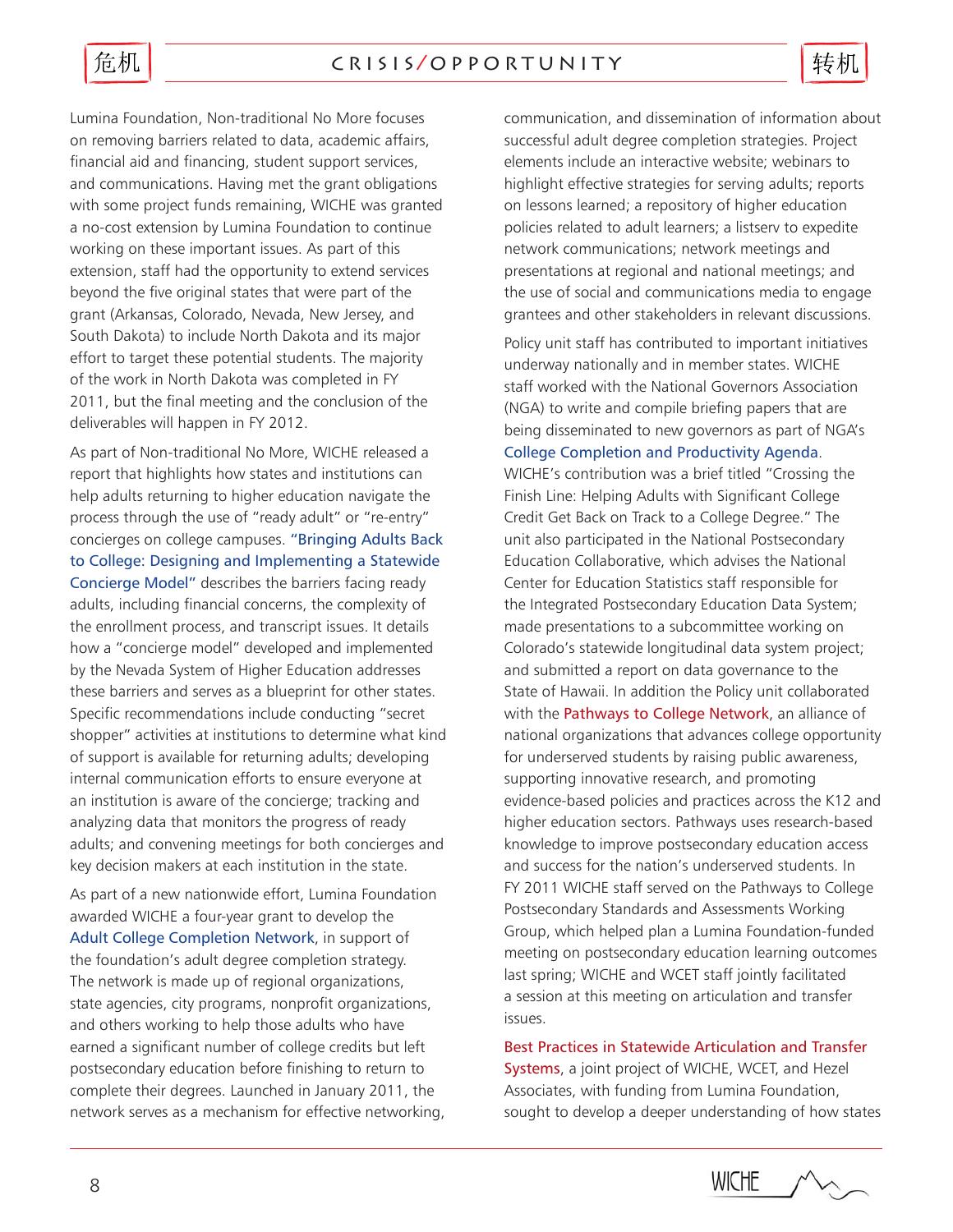### c r i s i s / o p p o r t u n i t y

危机

Lumina Foundation, Non-traditional No More focuses on removing barriers related to data, academic affairs, financial aid and financing, student support services, and communications. Having met the grant obligations with some project funds remaining, WICHE was granted a no-cost extension by Lumina Foundation to continue working on these important issues. As part of this extension, staff had the opportunity to extend services beyond the five original states that were part of the grant (Arkansas, Colorado, Nevada, New Jersey, and South Dakota) to include North Dakota and its major effort to target these potential students. The majority of the work in North Dakota was completed in FY 2011, but the final meeting and the conclusion of the deliverables will happen in FY 2012.

As part of Non-traditional No More, WICHE released a report that highlights how states and institutions can help adults returning to higher education navigate the process through the use of "ready adult" or "re-entry" concierges on college campuses. ["Bringing Adults Back](http://www.wiche.edu/info/publications/ntnmConciergeBrief.pdf)  [to College: Designing and Implementing a Statewide](http://www.wiche.edu/info/publications/ntnmConciergeBrief.pdf)  [Concierge Model"](http://www.wiche.edu/info/publications/ntnmConciergeBrief.pdf) describes the barriers facing ready adults, including financial concerns, the complexity of the enrollment process, and transcript issues. It details how a "concierge model" developed and implemented by the Nevada System of Higher Education addresses these barriers and serves as a blueprint for other states. Specific recommendations include conducting "secret shopper" activities at institutions to determine what kind of support is available for returning adults; developing internal communication efforts to ensure everyone at an institution is aware of the concierge; tracking and analyzing data that monitors the progress of ready adults; and convening meetings for both concierges and key decision makers at each institution in the state.

As part of a new nationwide effort, Lumina Foundation awarded WICHE a four-year grant to develop the [Adult College Completion Network](http://www.adultcollegecompletion.org), in support of the foundation's adult degree completion strategy. The network is made up of regional organizations, state agencies, city programs, nonprofit organizations, and others working to help those adults who have earned a significant number of college credits but left postsecondary education before finishing to return to complete their degrees. Launched in January 2011, the network serves as a mechanism for effective networking, communication, and dissemination of information about successful adult degree completion strategies. Project elements include an interactive website; webinars to highlight effective strategies for serving adults; reports on lessons learned; a repository of higher education policies related to adult learners; a listserv to expedite network communications; network meetings and presentations at regional and national meetings; and the use of social and communications media to engage grantees and other stakeholders in relevant discussions.

转机

Policy unit staff has contributed to important initiatives underway nationally and in member states. WICHE staff worked with the National Governors Association (NGA) to write and compile briefing papers that are being disseminated to new governors as part of NGA's [College Completion and Productivity Agenda](http://www.subnet.nga.org/ci/1011/resources.htm).

WICHE's contribution was a brief titled "Crossing the Finish Line: Helping Adults with Significant College Credit Get Back on Track to a College Degree." The unit also participated in the National Postsecondary Education Collaborative, which advises the National Center for Education Statistics staff responsible for the Integrated Postsecondary Education Data System; made presentations to a subcommittee working on Colorado's statewide longitudinal data system project; and submitted a report on data governance to the State of Hawaii. In addition the Policy unit collaborated with the **Pathways to College Network**, an alliance of national organizations that advances college opportunity for underserved students by raising public awareness, supporting innovative research, and promoting evidence-based policies and practices across the K12 and higher education sectors. Pathways uses research-based knowledge to improve postsecondary education access and success for the nation's underserved students. In FY 2011 WICHE staff served on the Pathways to College Postsecondary Standards and Assessments Working Group, which helped plan a Lumina Foundation-funded meeting on postsecondary education learning outcomes last spring; WICHE and WCET staff jointly facilitated a session at this meeting on articulation and transfer issues.

Best Practices in Statewide Articulation and Transfer Systems, a joint project of WICHE, WCET, and Hezel Associates, with funding from Lumina Foundation, sought to develop a deeper understanding of how states

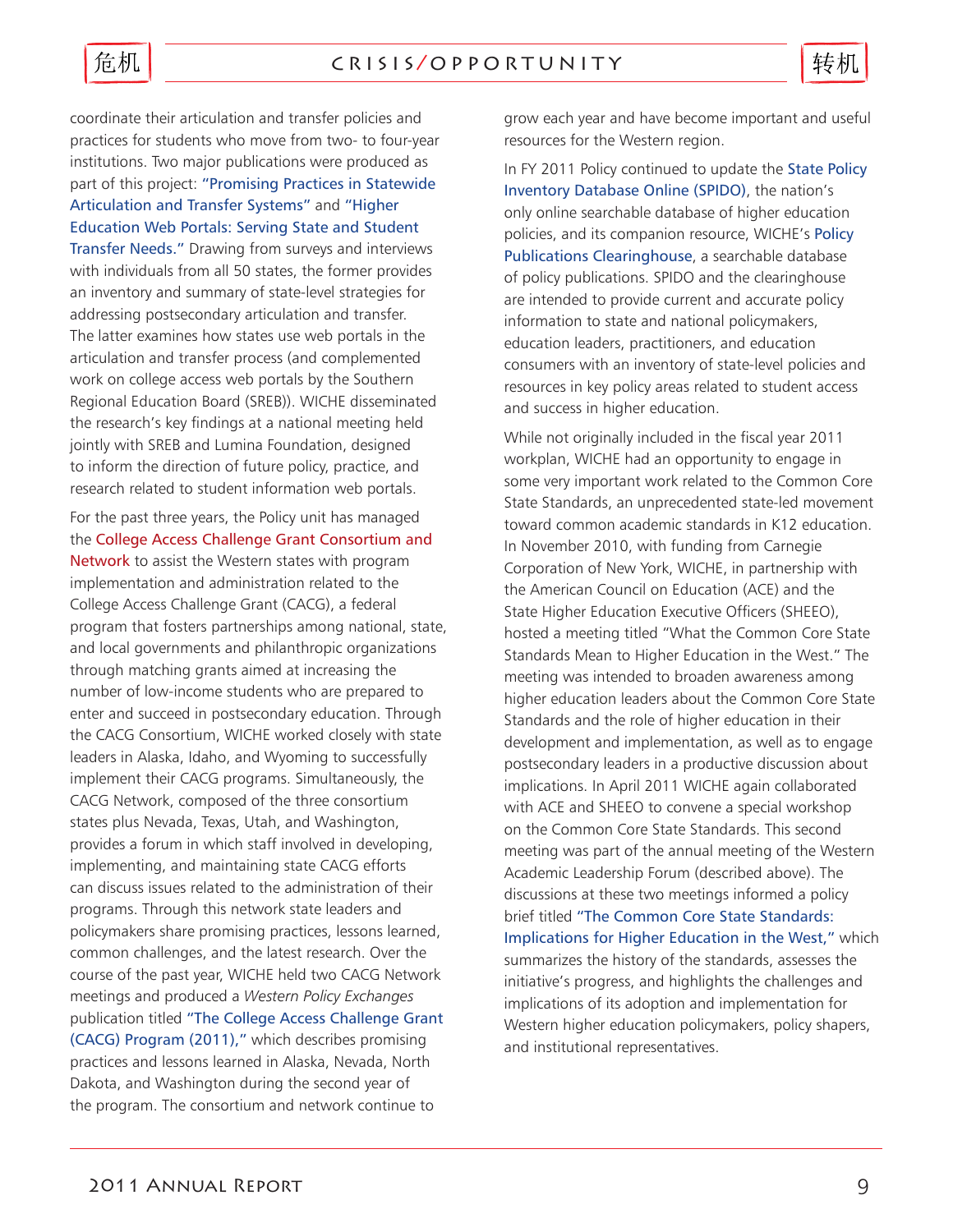

coordinate their articulation and transfer policies and practices for students who move from two- to four-year institutions. Two major publications were produced as part of this project: ["Promising Practices in Statewide](http://www.wiche.edu/info/publications/PromisingPracticesGuide.pdf)  [Articulation and Transfer Systems"](http://www.wiche.edu/info/publications/PromisingPracticesGuide.pdf) and ["Higher](http://www.wiche.edu/info/publications/higherEdWebPortals.pdf)  [Education Web Portals: Serving State and Student](http://www.wiche.edu/info/publications/higherEdWebPortals.pdf)  [Transfer Needs."](http://www.wiche.edu/info/publications/higherEdWebPortals.pdf) Drawing from surveys and interviews with individuals from all 50 states, the former provides an inventory and summary of state-level strategies for addressing postsecondary articulation and transfer. The latter examines how states use web portals in the articulation and transfer process (and complemented work on college access web portals by the Southern Regional Education Board (SREB)). WICHE disseminated the research's key findings at a national meeting held jointly with SREB and Lumina Foundation, designed to inform the direction of future policy, practice, and research related to student information web portals.

For the past three years, the Policy unit has managed the College Access Challenge Grant Consortium and Network to assist the Western states with program implementation and administration related to the College Access Challenge Grant (CACG), a federal program that fosters partnerships among national, state, and local governments and philanthropic organizations through matching grants aimed at increasing the number of low-income students who are prepared to enter and succeed in postsecondary education. Through the CACG Consortium, WICHE worked closely with state leaders in Alaska, Idaho, and Wyoming to successfully implement their CACG programs. Simultaneously, the CACG Network, composed of the three consortium states plus Nevada, Texas, Utah, and Washington, provides a forum in which staff involved in developing, implementing, and maintaining state CACG efforts can discuss issues related to the administration of their programs. Through this network state leaders and policymakers share promising practices, lessons learned, common challenges, and the latest research. Over the course of the past year, WICHE held two CACG Network meetings and produced a *Western Policy Exchanges* publication titled ["The College Access Challenge Grant](http://www.wiche.edu/info/publications/WPE-CACG-2-2011.pdf)  [\(CACG\) Program \(2011\),"](http://www.wiche.edu/info/publications/WPE-CACG-2-2011.pdf) which describes promising practices and lessons learned in Alaska, Nevada, North Dakota, and Washington during the second year of the program. The consortium and network continue to

grow each year and have become important and useful resources for the Western region.

In FY 2011 Policy continued to update the State Policy [Inventory Database Online \(SPIDO\)](http://www.wiche.edu/spido), the nation's only online searchable database of higher education policies, and its companion resource, WICHE's [Policy](http://www.wiche.edu/clearinghouse)  [Publications Clearinghouse](http://www.wiche.edu/clearinghouse), a searchable database of policy publications. SPIDO and the clearinghouse are intended to provide current and accurate policy information to state and national policymakers, education leaders, practitioners, and education consumers with an inventory of state-level policies and resources in key policy areas related to student access and success in higher education.

While not originally included in the fiscal year 2011 workplan, WICHE had an opportunity to engage in some very important work related to the Common Core State Standards, an unprecedented state-led movement toward common academic standards in K12 education. In November 2010, with funding from Carnegie Corporation of New York, WICHE, in partnership with the American Council on Education (ACE) and the State Higher Education Executive Officers (SHEEO), hosted a meeting titled "What the Common Core State Standards Mean to Higher Education in the West." The meeting was intended to broaden awareness among higher education leaders about the Common Core State Standards and the role of higher education in their development and implementation, as well as to engage postsecondary leaders in a productive discussion about implications. In April 2011 WICHE again collaborated with ACE and SHEEO to convene a special workshop on the Common Core State Standards. This second meeting was part of the annual meeting of the Western Academic Leadership Forum (described above). The discussions at these two meetings informed a policy brief titled ["The Common Core State Standards:](http://www.wiche.edu/info/publications/PI-CommonCoreStateStandards.pdf)  [Implications for Higher Education in the West,"](http://www.wiche.edu/info/publications/PI-CommonCoreStateStandards.pdf) which summarizes the history of the standards, assesses the initiative's progress, and highlights the challenges and implications of its adoption and implementation for Western higher education policymakers, policy shapers, and institutional representatives.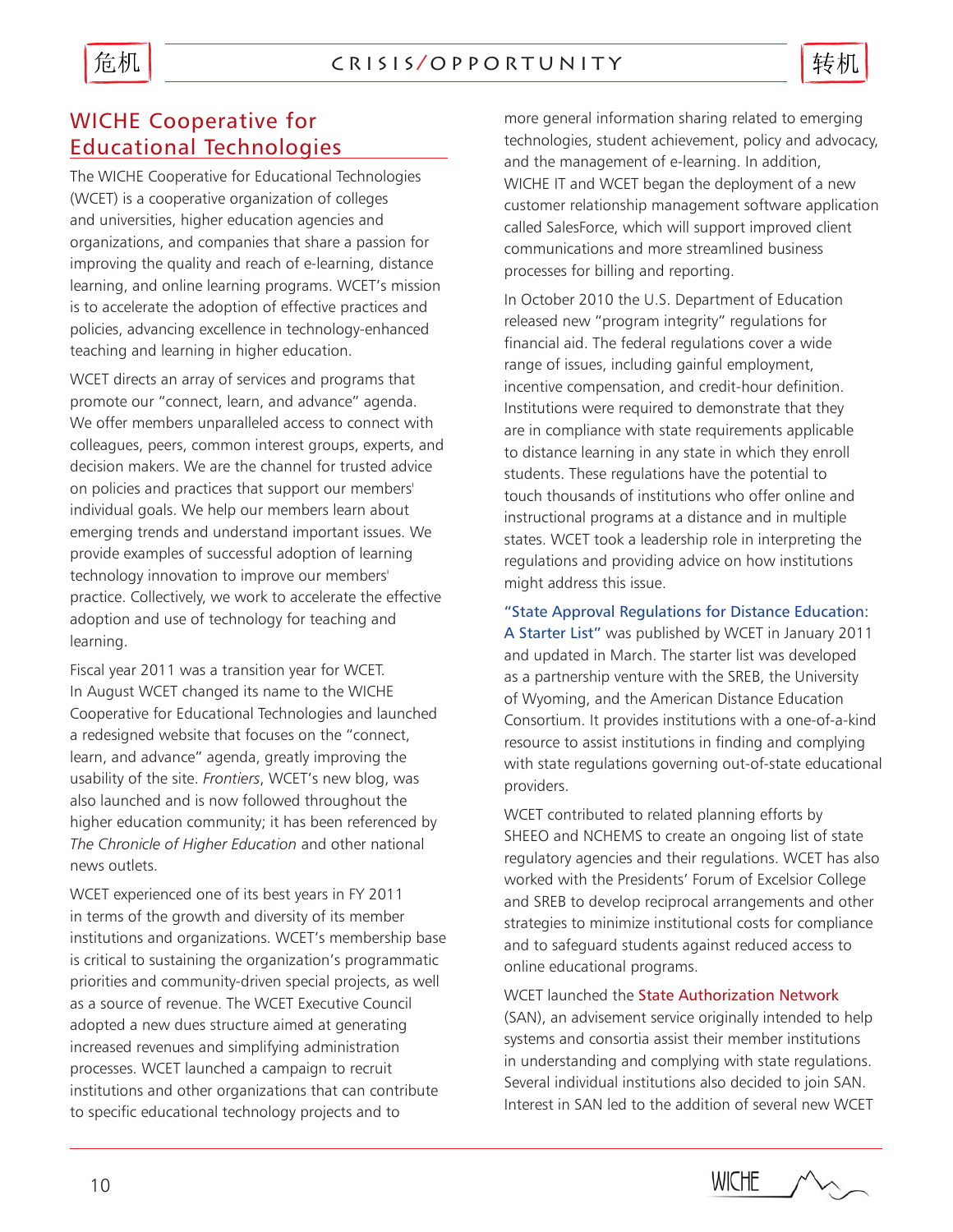

# WICHE Cooperative for Educational Technologies

The WICHE Cooperative for Educational Technologies (WCET) is a cooperative organization of colleges and universities, higher education agencies and organizations, and companies that share a passion for improving the quality and reach of e-learning, distance learning, and online learning programs. WCET's mission is to accelerate the adoption of effective practices and policies, advancing excellence in technology-enhanced teaching and learning in higher education.

WCET directs an array of services and programs that promote our "connect, learn, and advance" agenda. We offer members unparalleled access to connect with colleagues, peers, common interest groups, experts, and decision makers. We are the channel for trusted advice on policies and practices that support our members' individual goals. We help our members learn about emerging trends and understand important issues. We provide examples of successful adoption of learning technology innovation to improve our members' practice. Collectively, we work to accelerate the effective adoption and use of technology for teaching and learning.

Fiscal year 2011 was a transition year for WCET. In August WCET changed its name to the WICHE Cooperative for Educational Technologies and launched a redesigned website that focuses on the "connect, learn, and advance" agenda, greatly improving the usability of the site. *Frontiers*, WCET's new blog, was also launched and is now followed throughout the higher education community; it has been referenced by *The Chronicle of Higher Education* and other national news outlets.

WCET experienced one of its best years in FY 2011 in terms of the growth and diversity of its member institutions and organizations. WCET's membership base is critical to sustaining the organization's programmatic priorities and community-driven special projects, as well as a source of revenue. The WCET Executive Council adopted a new dues structure aimed at generating increased revenues and simplifying administration processes. WCET launched a campaign to recruit institutions and other organizations that can contribute to specific educational technology projects and to

more general information sharing related to emerging technologies, student achievement, policy and advocacy, and the management of e-learning. In addition, WICHE IT and WCET began the deployment of a new customer relationship management software application called SalesForce, which will support improved client communications and more streamlined business processes for billing and reporting.

In October 2010 the U.S. Department of Education released new "program integrity" regulations for financial aid. The federal regulations cover a wide range of issues, including gainful employment, incentive compensation, and credit-hour definition. Institutions were required to demonstrate that they are in compliance with state requirements applicable to distance learning in any state in which they enroll students. These regulations have the potential to touch thousands of institutions who offer online and instructional programs at a distance and in multiple states. WCET took a leadership role in interpreting the regulations and providing advice on how institutions might address this issue.

["State Approval Regulations for Distance Education:](http://wcet.wiche.edu/wcet/docs/state-approval/StateApprovalRegulationsforDistanceEducationAStarterList.pdf)  [A Starter List"](http://wcet.wiche.edu/wcet/docs/state-approval/StateApprovalRegulationsforDistanceEducationAStarterList.pdf) was published by WCET in January 2011 and updated in March. The starter list was developed as a partnership venture with the SREB, the University of Wyoming, and the American Distance Education Consortium. It provides institutions with a one-of-a-kind resource to assist institutions in finding and complying with state regulations governing out-of-state educational providers.

WCET contributed to related planning efforts by SHEEO and NCHEMS to create an ongoing list of state regulatory agencies and their regulations. WCET has also worked with the Presidents' Forum of Excelsior College and SREB to develop reciprocal arrangements and other strategies to minimize institutional costs for compliance and to safeguard students against reduced access to online educational programs.

WCET launched the State Authorization Network (SAN), an advisement service originally intended to help systems and consortia assist their member institutions in understanding and complying with state regulations. Several individual institutions also decided to join SAN. Interest in SAN led to the addition of several new WCET

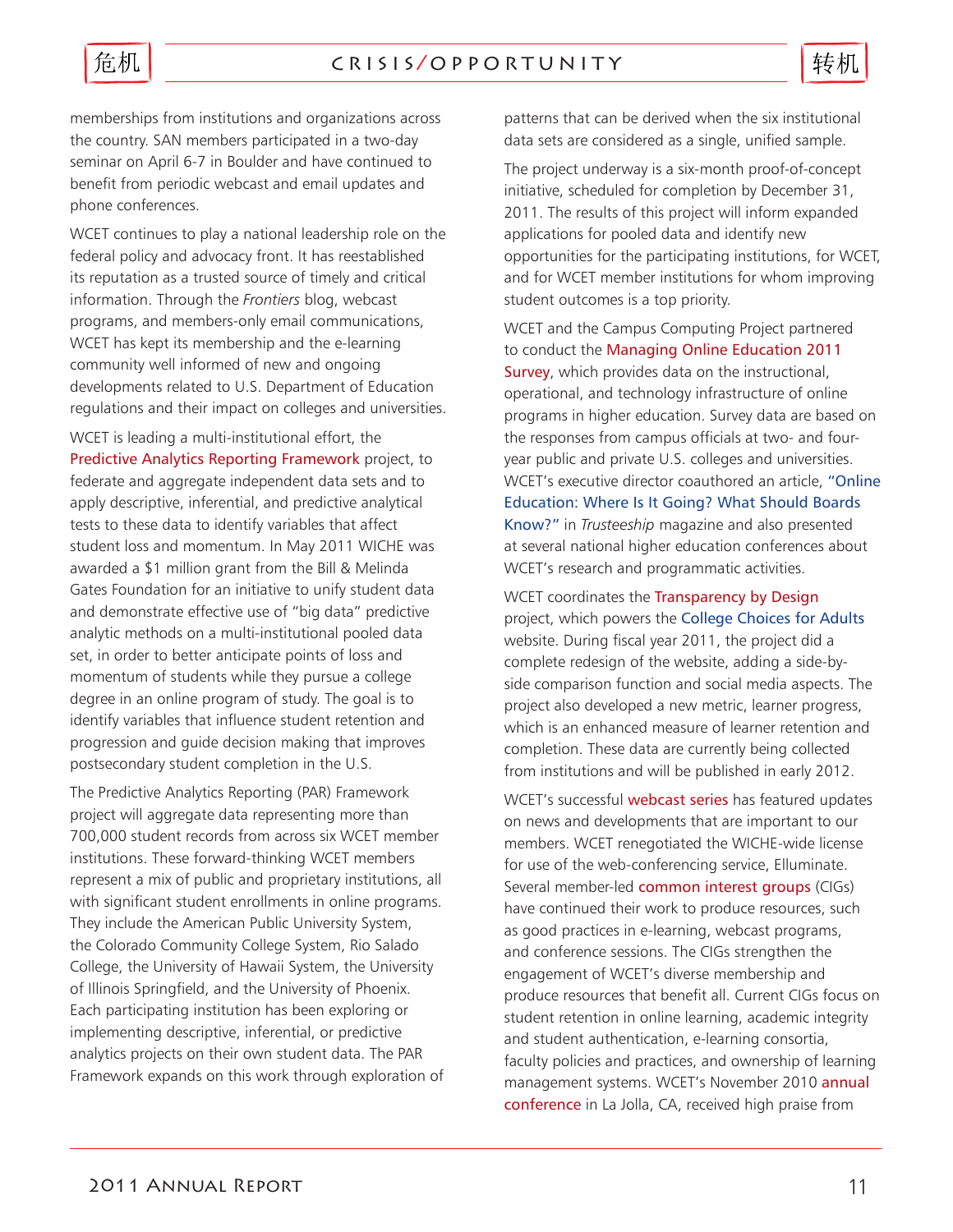

memberships from institutions and organizations across the country. SAN members participated in a two-day seminar on April 6-7 in Boulder and have continued to benefit from periodic webcast and email updates and phone conferences.

WCET continues to play a national leadership role on the federal policy and advocacy front. It has reestablished its reputation as a trusted source of timely and critical information. Through the *Frontiers* blog, webcast programs, and members-only email communications, WCET has kept its membership and the e-learning community well informed of new and ongoing developments related to U.S. Department of Education regulations and their impact on colleges and universities.

WCET is leading a multi-institutional effort, the Predictive Analytics Reporting Framework project, to federate and aggregate independent data sets and to apply descriptive, inferential, and predictive analytical tests to these data to identify variables that affect student loss and momentum. In May 2011 WICHE was awarded a \$1 million grant from the Bill & Melinda Gates Foundation for an initiative to unify student data and demonstrate effective use of "big data" predictive analytic methods on a multi-institutional pooled data set, in order to better anticipate points of loss and momentum of students while they pursue a college degree in an online program of study. The goal is to identify variables that influence student retention and progression and guide decision making that improves postsecondary student completion in the U.S.

The Predictive Analytics Reporting (PAR) Framework project will aggregate data representing more than 700,000 student records from across six WCET member institutions. These forward-thinking WCET members represent a mix of public and proprietary institutions, all with significant student enrollments in online programs. They include the American Public University System, the Colorado Community College System, Rio Salado College, the University of Hawaii System, the University of Illinois Springfield, and the University of Phoenix. Each participating institution has been exploring or implementing descriptive, inferential, or predictive analytics projects on their own student data. The PAR Framework expands on this work through exploration of patterns that can be derived when the six institutional data sets are considered as a single, unified sample.

The project underway is a six-month proof-of-concept initiative, scheduled for completion by December 31, 2011. The results of this project will inform expanded applications for pooled data and identify new opportunities for the participating institutions, for WCET, and for WCET member institutions for whom improving student outcomes is a top priority.

WCET and the Campus Computing Project partnered to conduct the Managing Online Education 2011 Survey, which provides data on the instructional, operational, and technology infrastructure of online programs in higher education. Survey data are based on the responses from campus officials at two- and fouryear public and private U.S. colleges and universities. WCET's executive director coauthored an article, ["Online](http://www.agb.org/trusteeship/2011/1/online-education-where-it-going-what-should-boards-know)  [Education: Where Is It Going? What Should Boards](http://www.agb.org/trusteeship/2011/1/online-education-where-it-going-what-should-boards-know)  [Know?"](http://www.agb.org/trusteeship/2011/1/online-education-where-it-going-what-should-boards-know) in *Trusteeship* magazine and also presented at several national higher education conferences about WCET's research and programmatic activities.

WCET coordinates the Transparency by Design project, which powers the [College Choices for Adults](http://www.collegechoicesforadults.org/)  website. During fiscal year 2011, the project did a complete redesign of the website, adding a side-byside comparison function and social media aspects. The project also developed a new metric, learner progress, which is an enhanced measure of learner retention and completion. These data are currently being collected from institutions and will be published in early 2012.

WCET's successful webcast series has featured updates on news and developments that are important to our members. WCET renegotiated the WICHE-wide license for use of the web-conferencing service, Elluminate. Several member-led common interest groups (CIGs) have continued their work to produce resources, such as good practices in e-learning, webcast programs, and conference sessions. The CIGs strengthen the engagement of WCET's diverse membership and produce resources that benefit all. Current CIGs focus on student retention in online learning, academic integrity and student authentication, e-learning consortia, faculty policies and practices, and ownership of learning management systems. WCET's November 2010 annual conference in La Jolla, CA, received high praise from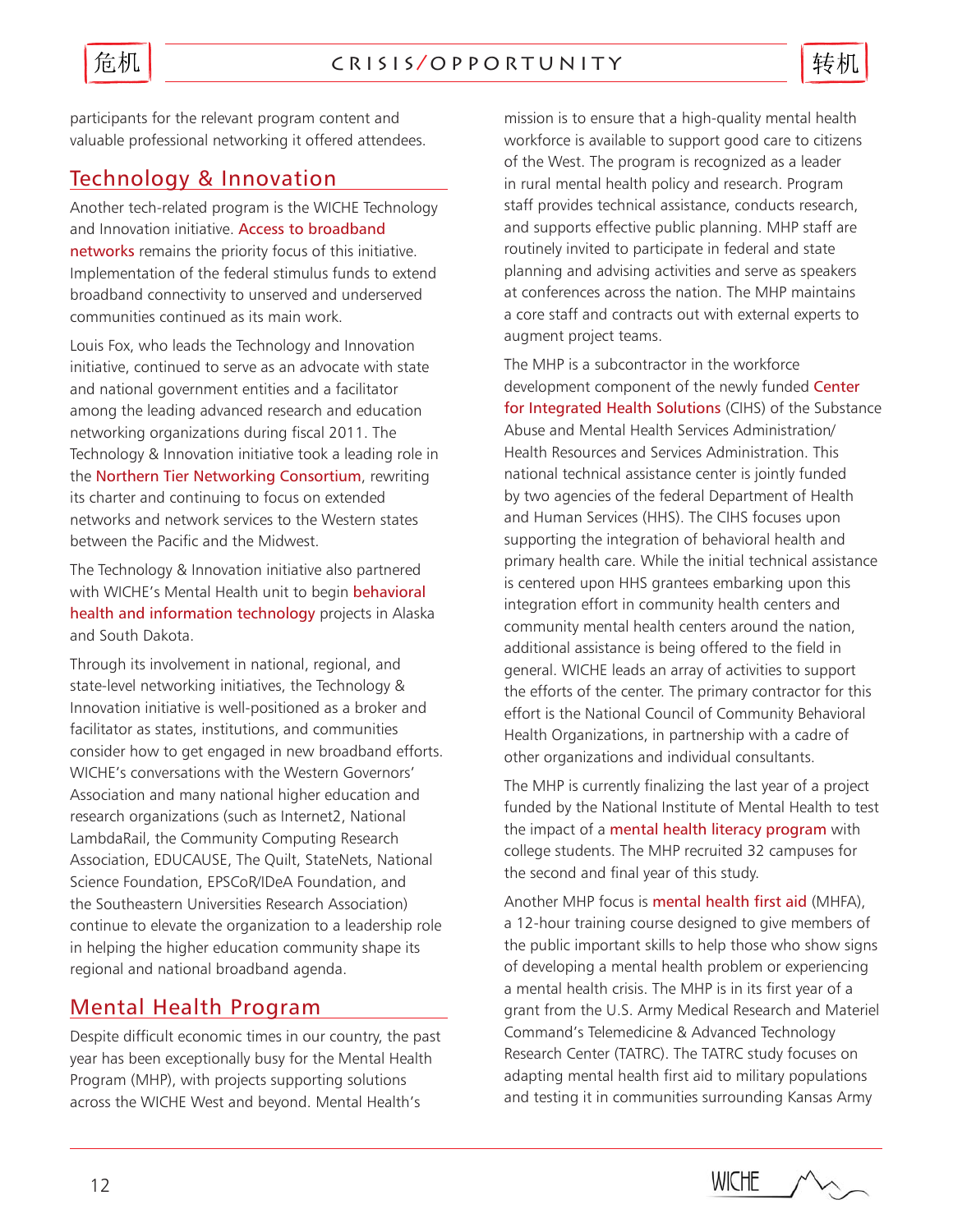

participants for the relevant program content and valuable professional networking it offered attendees.

# Technology & Innovation

Another tech-related program is the WICHE Technology and Innovation initiative. Access to broadband networks remains the priority focus of this initiative. Implementation of the federal stimulus funds to extend broadband connectivity to unserved and underserved communities continued as its main work.

Louis Fox, who leads the Technology and Innovation initiative, continued to serve as an advocate with state and national government entities and a facilitator among the leading advanced research and education networking organizations during fiscal 2011. The Technology & Innovation initiative took a leading role in the Northern Tier Networking Consortium, rewriting its charter and continuing to focus on extended networks and network services to the Western states between the Pacific and the Midwest.

The Technology & Innovation initiative also partnered with WICHE's Mental Health unit to begin behavioral health and information technology projects in Alaska and South Dakota.

Through its involvement in national, regional, and state-level networking initiatives, the Technology & Innovation initiative is well-positioned as a broker and facilitator as states, institutions, and communities consider how to get engaged in new broadband efforts. WICHE's conversations with the Western Governors' Association and many national higher education and research organizations (such as Internet2, National LambdaRail, the Community Computing Research Association, EDUCAUSE, The Quilt, StateNets, National Science Foundation, EPSCoR/IDeA Foundation, and the Southeastern Universities Research Association) continue to elevate the organization to a leadership role in helping the higher education community shape its regional and national broadband agenda.

# Mental Health Program

Despite difficult economic times in our country, the past year has been exceptionally busy for the Mental Health Program (MHP), with projects supporting solutions across the WICHE West and beyond. Mental Health's

mission is to ensure that a high-quality mental health workforce is available to support good care to citizens of the West. The program is recognized as a leader in rural mental health policy and research. Program staff provides technical assistance, conducts research, and supports effective public planning. MHP staff are routinely invited to participate in federal and state planning and advising activities and serve as speakers at conferences across the nation. The MHP maintains a core staff and contracts out with external experts to augment project teams.

The MHP is a subcontractor in the workforce development component of the newly funded Center for Integrated Health Solutions (CIHS) of the Substance Abuse and Mental Health Services Administration/ Health Resources and Services Administration. This national technical assistance center is jointly funded by two agencies of the federal Department of Health and Human Services (HHS). The CIHS focuses upon supporting the integration of behavioral health and primary health care. While the initial technical assistance is centered upon HHS grantees embarking upon this integration effort in community health centers and community mental health centers around the nation, additional assistance is being offered to the field in general. WICHE leads an array of activities to support the efforts of the center. The primary contractor for this effort is the National Council of Community Behavioral Health Organizations, in partnership with a cadre of other organizations and individual consultants.

The MHP is currently finalizing the last year of a project funded by the National Institute of Mental Health to test the impact of a mental health literacy program with college students. The MHP recruited 32 campuses for the second and final year of this study.

Another MHP focus is mental health first aid (MHFA), a 12-hour training course designed to give members of the public important skills to help those who show signs of developing a mental health problem or experiencing a mental health crisis. The MHP is in its first year of a grant from the U.S. Army Medical Research and Materiel Command's Telemedicine & Advanced Technology Research Center (TATRC). The TATRC study focuses on adapting mental health first aid to military populations and testing it in communities surrounding Kansas Army

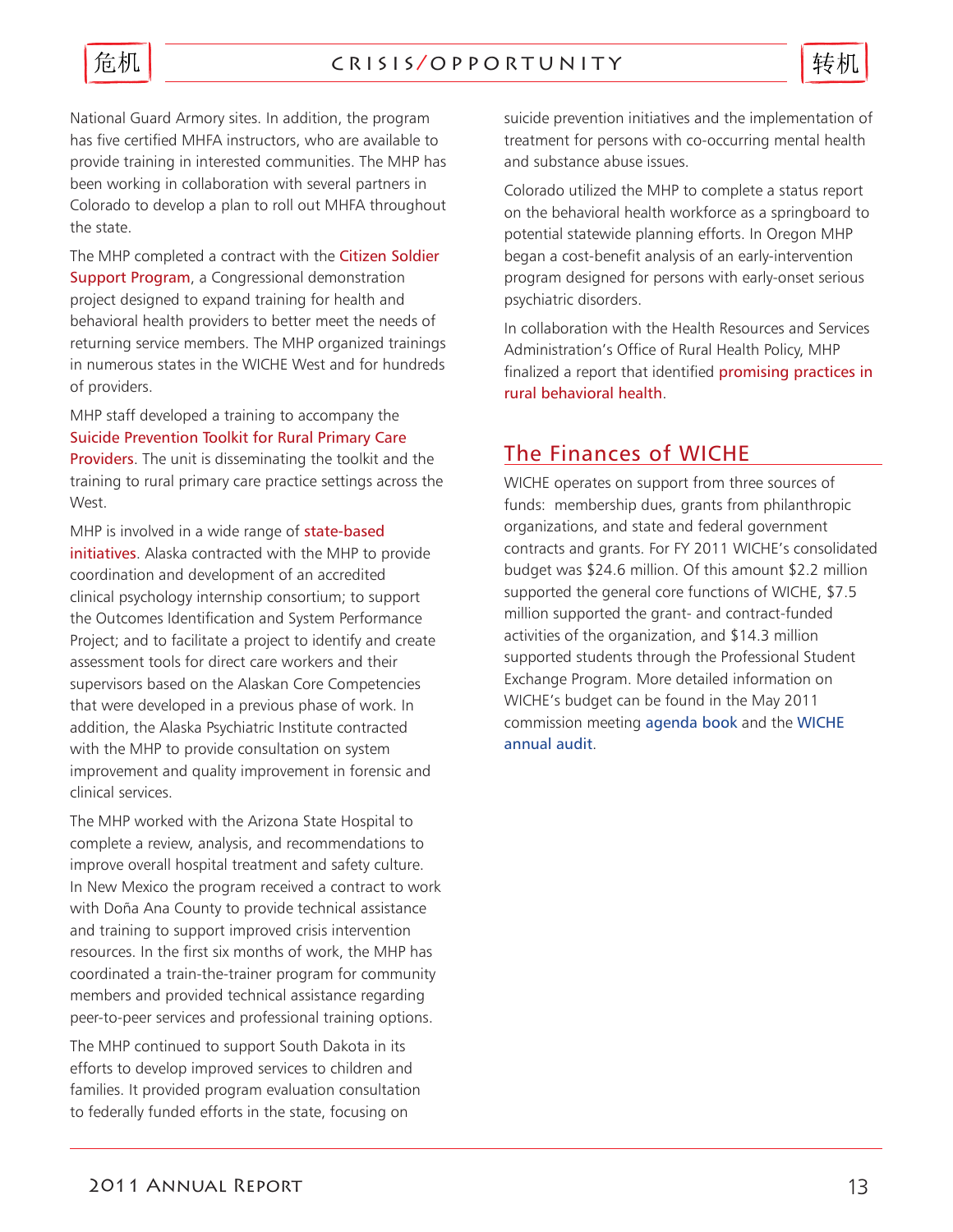

National Guard Armory sites. In addition, the program has five certified MHFA instructors, who are available to provide training in interested communities. The MHP has been working in collaboration with several partners in Colorado to develop a plan to roll out MHFA throughout the state.

The MHP completed a contract with the Citizen Soldier Support Program, a Congressional demonstration project designed to expand training for health and behavioral health providers to better meet the needs of returning service members. The MHP organized trainings in numerous states in the WICHE West and for hundreds of providers.

MHP staff developed a training to accompany the Suicide Prevention Toolkit for Rural Primary Care **Providers**. The unit is disseminating the toolkit and the training to rural primary care practice settings across the West.

MHP is involved in a wide range of state-based initiatives. Alaska contracted with the MHP to provide coordination and development of an accredited clinical psychology internship consortium; to support the Outcomes Identification and System Performance Project; and to facilitate a project to identify and create assessment tools for direct care workers and their supervisors based on the Alaskan Core Competencies that were developed in a previous phase of work. In addition, the Alaska Psychiatric Institute contracted with the MHP to provide consultation on system improvement and quality improvement in forensic and clinical services.

The MHP worked with the Arizona State Hospital to complete a review, analysis, and recommendations to improve overall hospital treatment and safety culture. In New Mexico the program received a contract to work with Doña Ana County to provide technical assistance and training to support improved crisis intervention resources. In the first six months of work, the MHP has coordinated a train-the-trainer program for community members and provided technical assistance regarding peer-to-peer services and professional training options.

The MHP continued to support South Dakota in its efforts to develop improved services to children and families. It provided program evaluation consultation to federally funded efforts in the state, focusing on

suicide prevention initiatives and the implementation of treatment for persons with co-occurring mental health and substance abuse issues.

Colorado utilized the MHP to complete a status report on the behavioral health workforce as a springboard to potential statewide planning efforts. In Oregon MHP began a cost-benefit analysis of an early-intervention program designed for persons with early-onset serious psychiatric disorders.

In collaboration with the Health Resources and Services Administration's Office of Rural Health Policy, MHP finalized a report that identified promising practices in rural behavioral health.

# The Finances of WICHE

WICHE operates on support from three sources of funds: membership dues, grants from philanthropic organizations, and state and federal government contracts and grants. For FY 2011 WICHE's consolidated budget was \$24.6 million. Of this amount \$2.2 million supported the general core functions of WICHE, \$7.5 million supported the grant- and contract-funded activities of the organization, and \$14.3 million supported students through the Professional Student Exchange Program. More detailed information on WICHE's budget can be found in the May 2011 commission meeting [agenda book](http://www.wiche.edu/pub/15010) and the [WICHE](http://www.wiche.edu/info/commissioners/wicheAuditNov2010.pdf)  [annual audit](http://www.wiche.edu/info/commissioners/wicheAuditNov2010.pdf).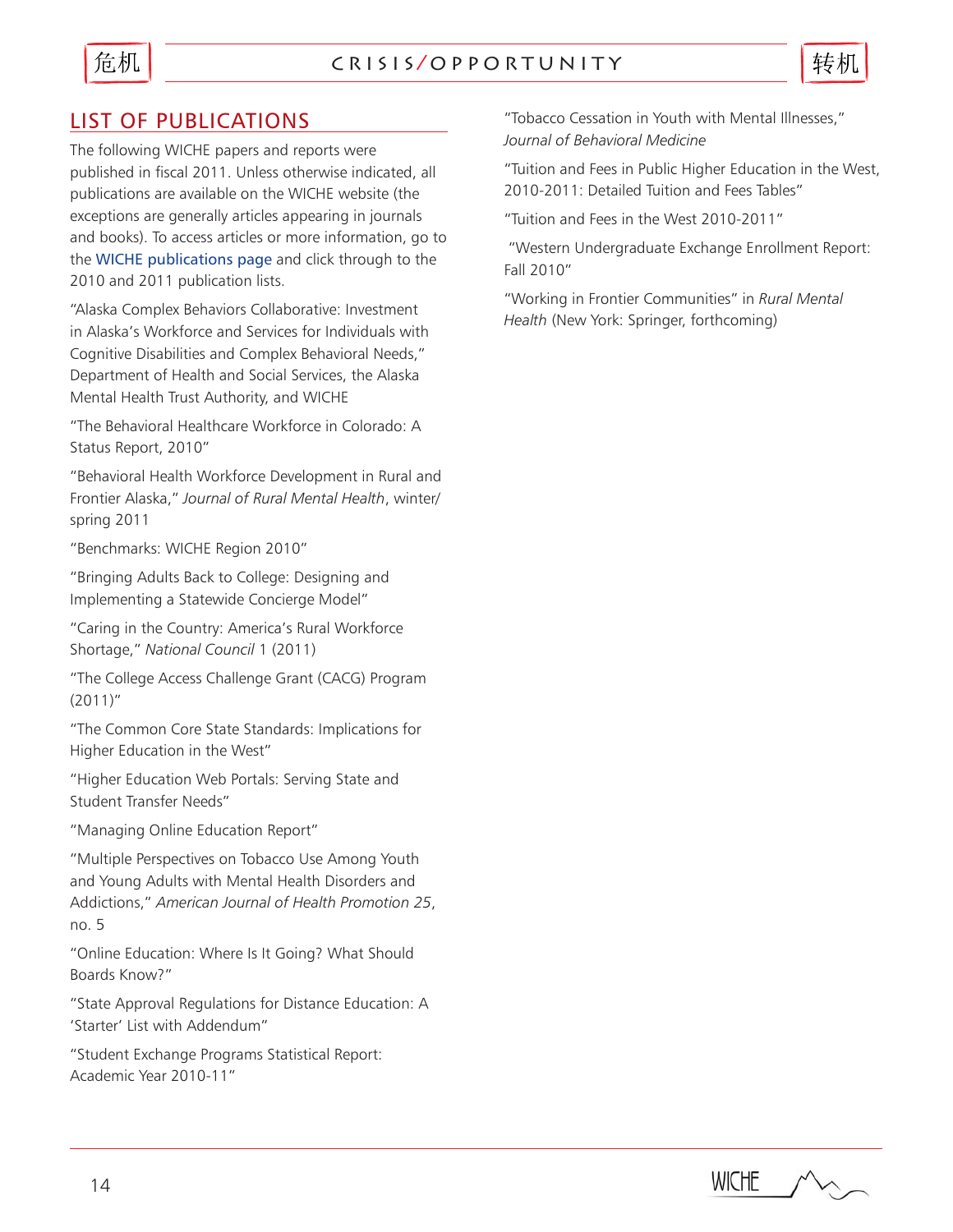

### c r i s i s / o p p o r t u n i t y



# LIST OF PUBLICATIONS

The following WICHE papers and reports were published in fiscal 2011. Unless otherwise indicated, all publications are available on the WICHE website (the exceptions are generally articles appearing in journals and books). To access articles or more information, go to the [WICHE publications page](http://http://www.wiche.edu/publications/year) and click through to the 2010 and 2011 publication lists.

"Alaska Complex Behaviors Collaborative: Investment in Alaska's Workforce and Services for Individuals with Cognitive Disabilities and Complex Behavioral Needs," Department of Health and Social Services, the Alaska Mental Health Trust Authority, and WICHE

"The Behavioral Healthcare Workforce in Colorado: A Status Report, 2010"

"Behavioral Health Workforce Development in Rural and Frontier Alaska," *Journal of Rural Mental Health*, winter/ spring 2011

"Benchmarks: WICHE Region 2010"

"Bringing Adults Back to College: Designing and Implementing a Statewide Concierge Model"

"Caring in the Country: America's Rural Workforce Shortage," *National Council* 1 (2011)

"The College Access Challenge Grant (CACG) Program (2011)"

"The Common Core State Standards: Implications for Higher Education in the West"

"Higher Education Web Portals: Serving State and Student Transfer Needs"

"Managing Online Education Report"

"Multiple Perspectives on Tobacco Use Among Youth and Young Adults with Mental Health Disorders and Addictions," *American Journal of Health Promotion 25*, no. 5

"Online Education: Where Is It Going? What Should Boards Know?"

"State Approval Regulations for Distance Education: A 'Starter' List with Addendum"

"Student Exchange Programs Statistical Report: Academic Year 2010-11"

"Tobacco Cessation in Youth with Mental Illnesses," *Journal of Behavioral Medicine*

"Tuition and Fees in Public Higher Education in the West, 2010-2011: Detailed Tuition and Fees Tables"

"Tuition and Fees in the West 2010-2011"

 "Western Undergraduate Exchange Enrollment Report: Fall 2010"

"Working in Frontier Communities" in *Rural Mental Health* (New York: Springer, forthcoming)

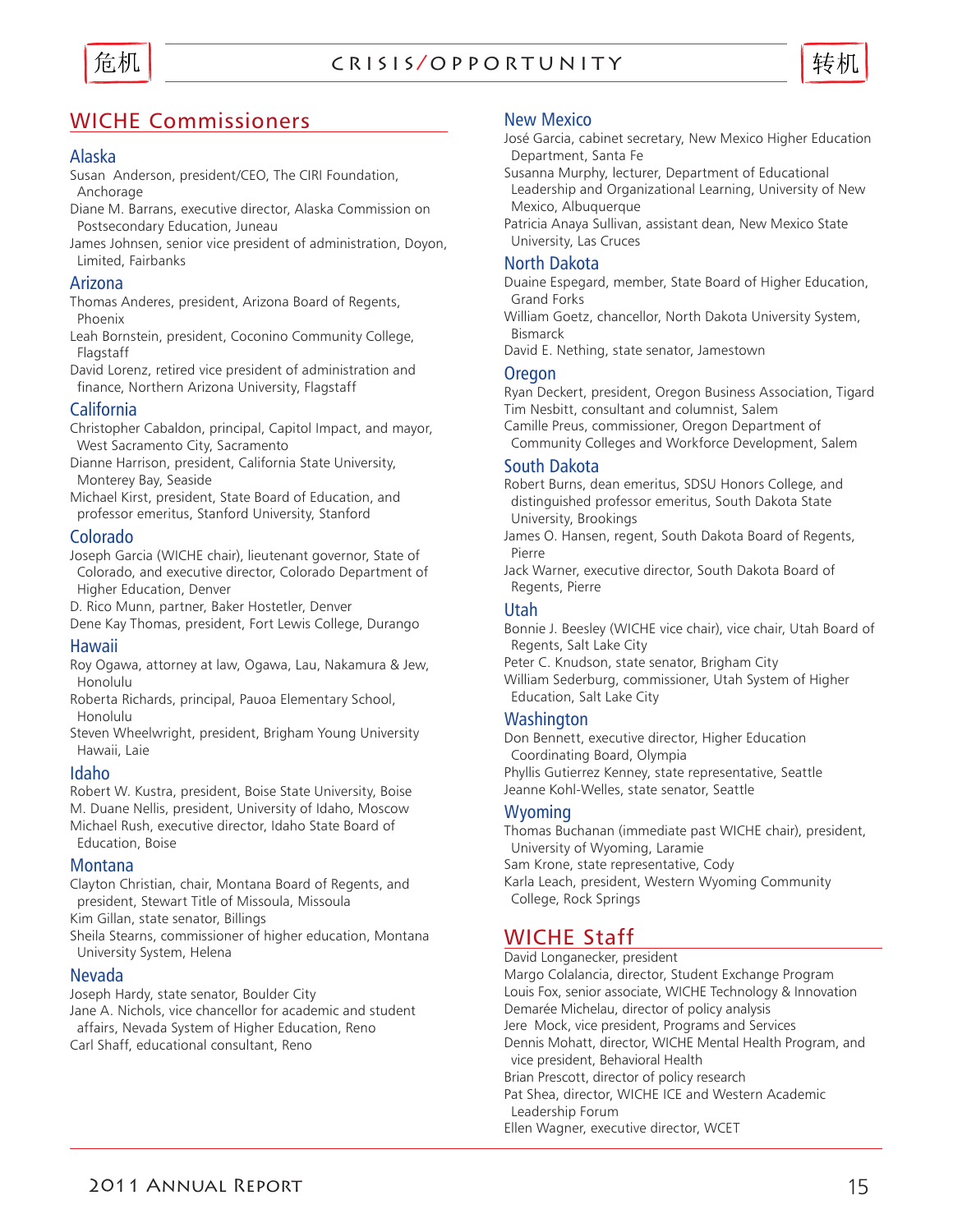

### c r i s i s / o p p o r t u n i t y



# WICHE Commissioners

#### Alaska

- Susan Anderson, president/CEO, The CIRI Foundation, Anchorage
- Diane M. Barrans, executive director, Alaska Commission on Postsecondary Education, Juneau
- James Johnsen, senior vice president of administration, Doyon, Limited, Fairbanks

#### Arizona

- Thomas Anderes, president, Arizona Board of Regents, Phoenix
- Leah Bornstein, president, Coconino Community College, Flagstaff
- David Lorenz, retired vice president of administration and finance, Northern Arizona University, Flagstaff

#### California

Christopher Cabaldon, principal, Capitol Impact, and mayor, West Sacramento City, Sacramento

Dianne Harrison, president, California State University, Monterey Bay, Seaside

Michael Kirst, president, State Board of Education, and professor emeritus, Stanford University, Stanford

#### Colorado

Joseph Garcia (WICHE chair), lieutenant governor, State of Colorado, and executive director, Colorado Department of Higher Education, Denver

D. Rico Munn, partner, Baker Hostetler, Denver

Dene Kay Thomas, president, Fort Lewis College, Durango

#### Hawaii

Roy Ogawa, attorney at law, Ogawa, Lau, Nakamura & Jew, Honolulu

Roberta Richards, principal, Pauoa Elementary School, Honolulu

Steven Wheelwright, president, Brigham Young University Hawaii, Laie

#### Idaho

Robert W. Kustra, president, Boise State University, Boise M. Duane Nellis, president, University of Idaho, Moscow Michael Rush, executive director, Idaho State Board of Education, Boise

#### Montana

Clayton Christian, chair, Montana Board of Regents, and president, Stewart Title of Missoula, Missoula

Kim Gillan, state senator, Billings

Sheila Stearns, commissioner of higher education, Montana University System, Helena

#### Nevada

Joseph Hardy, state senator, Boulder City Jane A. Nichols, vice chancellor for academic and student affairs, Nevada System of Higher Education, Reno Carl Shaff, educational consultant, Reno

#### New Mexico

José Garcia, cabinet secretary, New Mexico Higher Education Department, Santa Fe

- Susanna Murphy, lecturer, Department of Educational
- Leadership and Organizational Learning, University of New Mexico, Albuquerque
- Patricia Anaya Sullivan, assistant dean, New Mexico State University, Las Cruces

#### North Dakota

Duaine Espegard, member, State Board of Higher Education, Grand Forks

William Goetz, chancellor, North Dakota University System, Bismarck

David E. Nething, state senator, Jamestown

#### **Oregon**

Ryan Deckert, president, Oregon Business Association, Tigard Tim Nesbitt, consultant and columnist, Salem Camille Preus, commissioner, Oregon Department of

Community Colleges and Workforce Development, Salem

#### South Dakota

Robert Burns, dean emeritus, SDSU Honors College, and distinguished professor emeritus, South Dakota State University, Brookings

James O. Hansen, regent, South Dakota Board of Regents, Pierre

Jack Warner, executive director, South Dakota Board of Regents, Pierre

#### Utah

Bonnie J. Beesley (WICHE vice chair), vice chair, Utah Board of Regents, Salt Lake City

Peter C. Knudson, state senator, Brigham City William Sederburg, commissioner, Utah System of Higher Education, Salt Lake City

#### **Washington**

Don Bennett, executive director, Higher Education Coordinating Board, Olympia Phyllis Gutierrez Kenney, state representative, Seattle Jeanne Kohl-Welles, state senator, Seattle

#### **Wyoming**

Thomas Buchanan (immediate past WICHE chair), president, University of Wyoming, Laramie Sam Krone, state representative, Cody Karla Leach, president, Western Wyoming Community

College, Rock Springs

### WICHE Staff

David Longanecker, president Margo Colalancia, director, Student Exchange Program Louis Fox, senior associate, WICHE Technology & Innovation Demarée Michelau, director of policy analysis Jere Mock, vice president, Programs and Services Dennis Mohatt, director, WICHE Mental Health Program, and vice president, Behavioral Health Brian Prescott, director of policy research Pat Shea, director, WICHE ICE and Western Academic Leadership Forum Ellen Wagner, executive director, WCET